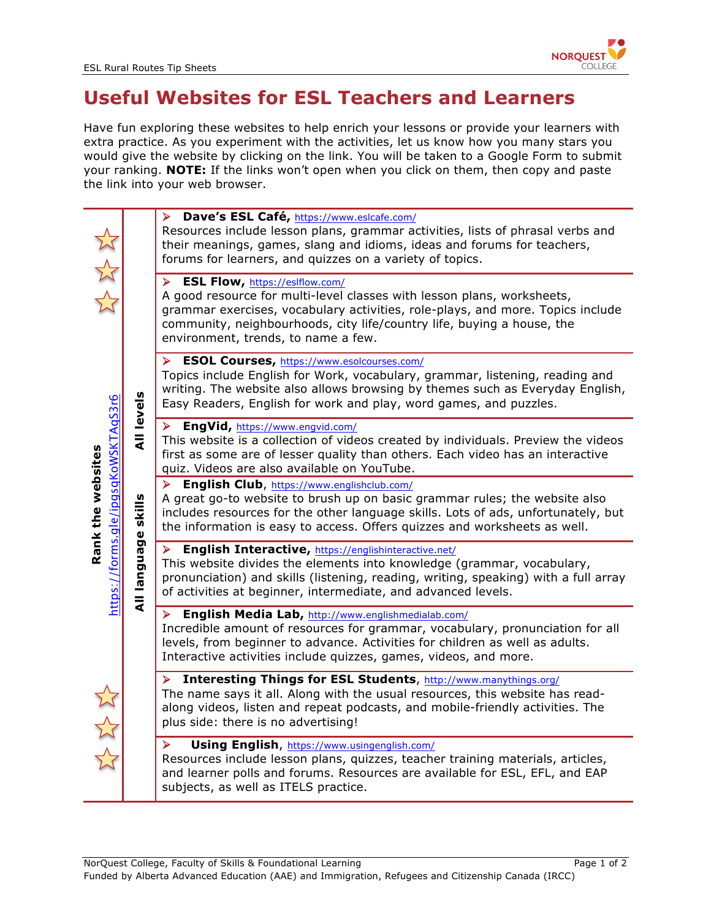

## **Useful Websites for ESL Teachers and Learners**

Have fun exploring these websites to help enrich your lessons or provide your learners with extra practice. As you experiment with the activities, let us know how you many stars you would give the website by clicking on the link. You will be taken to a Google Form to submit your ranking. **NOTE:** If the links won't open when you click on them, then copy and paste the link into your web browser.

|                                                                        | <b>All levels</b>      | > Dave's ESL Café, https://www.eslcafe.com/<br>Resources include lesson plans, grammar activities, lists of phrasal verbs and<br>their meanings, games, slang and idioms, ideas and forums for teachers,<br>forums for learners, and quizzes on a variety of topics.                                          |  |  |  |  |  |
|------------------------------------------------------------------------|------------------------|---------------------------------------------------------------------------------------------------------------------------------------------------------------------------------------------------------------------------------------------------------------------------------------------------------------|--|--|--|--|--|
| 计公式<br>https://forms.gle/ipgsqKoWSKTAqS3r6<br>Rank the websites<br>改改改 |                        | > ESL Flow, https://eslflow.com/<br>A good resource for multi-level classes with lesson plans, worksheets,<br>grammar exercises, vocabulary activities, role-plays, and more. Topics include<br>community, neighbourhoods, city life/country life, buying a house, the<br>environment, trends, to name a few. |  |  |  |  |  |
|                                                                        |                        | <b>ESOL Courses, https://www.esolcourses.com/</b><br>➤<br>Topics include English for Work, vocabulary, grammar, listening, reading and<br>writing. The website also allows browsing by themes such as Everyday English,<br>Easy Readers, English for work and play, word games, and puzzles.                  |  |  |  |  |  |
|                                                                        |                        | EngVid, https://www.engvid.com/<br>➤<br>This website is a collection of videos created by individuals. Preview the videos<br>first as some are of lesser quality than others. Each video has an interactive<br>quiz. Videos are also available on YouTube.                                                    |  |  |  |  |  |
|                                                                        | skills<br>All language | English Club, https://www.englishclub.com/<br>A great go-to website to brush up on basic grammar rules; the website also<br>includes resources for the other language skills. Lots of ads, unfortunately, but<br>the information is easy to access. Offers quizzes and worksheets as well.                    |  |  |  |  |  |
|                                                                        |                        | English Interactive, https://englishinteractive.net/<br>➤<br>This website divides the elements into knowledge (grammar, vocabulary,<br>pronunciation) and skills (listening, reading, writing, speaking) with a full array<br>of activities at beginner, intermediate, and advanced levels.                   |  |  |  |  |  |
|                                                                        |                        | English Media Lab, http://www.englishmedialab.com/<br>➤<br>Incredible amount of resources for grammar, vocabulary, pronunciation for all<br>levels, from beginner to advance. Activities for children as well as adults.<br>Interactive activities include quizzes, games, videos, and more.                  |  |  |  |  |  |
|                                                                        |                        | Interesting Things for ESL Students, http://www.manythings.org/<br>≻<br>The name says it all. Along with the usual resources, this website has read-<br>along videos, listen and repeat podcasts, and mobile-friendly activities. The<br>plus side: there is no advertising!                                  |  |  |  |  |  |
|                                                                        |                        | Using English, https://www.usingenglish.com/<br>⋗<br>Resources include lesson plans, quizzes, teacher training materials, articles,<br>and learner polls and forums. Resources are available for ESL, EFL, and EAP<br>subjects, as well as ITELS practice.                                                    |  |  |  |  |  |